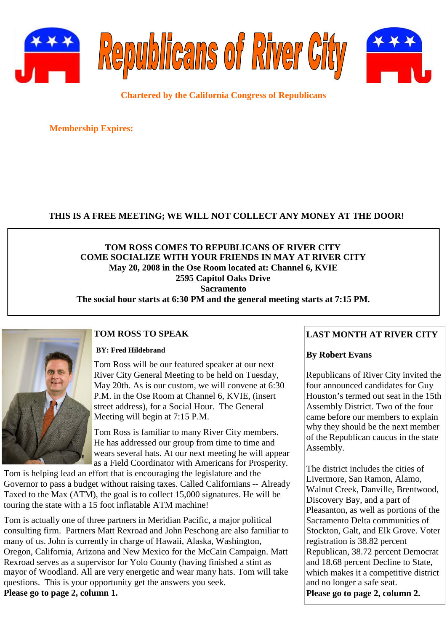

**Chartered by the California Congress of Republicans**

**Membership Expires:**

# **THIS IS A FREE MEETING; WE WILL NOT COLLECT ANY MONEY AT THE DOOR!**

# **TOM ROSS COMES TO REPUBLICANS OF RIVER CITY COME SOCIALIZE WITH YOUR FRIENDS IN MAY AT RIVER CITY May 20, 2008 in the Ose Room located at: Channel 6, KVIE 2595 Capitol Oaks Drive Sacramento**

**The social hour starts at 6:30 PM and the general meeting starts at 7:15 PM.**



# **TOM ROSS TO SPEAK**

#### **BY: Fred Hildebrand**

Tom Ross will be our featured speaker at our next River City General Meeting to be held on Tuesday, May 20th. As is our custom, we will convene at 6:30 P.M. in the Ose Room at Channel 6, KVIE, (insert street address), for a Social Hour. The General Meeting will begin at 7:15 P.M.

Tom Ross is familiar to many River City members. He has addressed our group from time to time and wears several hats. At our next meeting he will appear as a Field Coordinator with Americans for Prosperity.

Tom is helping lead an effort that is encouraging the legislature and the Governor to pass a budget without raising taxes. Called Californians -- Already Taxed to the Max (ATM), the goal is to collect 15,000 signatures. He will be touring the state with a 15 foot inflatable ATM machine!

Tom is actually one of three partners in Meridian Pacific, a major political consulting firm. Partners Matt Rexroad and John Peschong are also familiar to many of us. John is currently in charge of Hawaii, Alaska, Washington, Oregon, California, Arizona and New Mexico for the McCain Campaign. Matt Rexroad serves as a supervisor for Yolo County (having finished a stint as mayor of Woodland. All are very energetic and wear many hats. Tom will take questions. This is your opportunity get the answers you seek. **Please go to page 2, column 1.**

# **LAST MONTH AT RIVER CITY**

### **By Robert Evans**

Republicans of River City invited the four announced candidates for Guy Houston's termed out seat in the 15th Assembly District. Two of the four came before our members to explain why they should be the next member of the Republican caucus in the state Assembly.

The district includes the cities of Livermore, San Ramon, Alamo, Walnut Creek, Danville, Brentwood, Discovery Bay, and a part of Pleasanton, as well as portions of the Sacramento Delta communities of Stockton, Galt, and Elk Grove. Voter registration is 38.82 percent Republican, 38.72 percent Democrat and 18.68 percent Decline to State, which makes it a competitive district and no longer a safe seat.

**Please go to page 2, column 2.**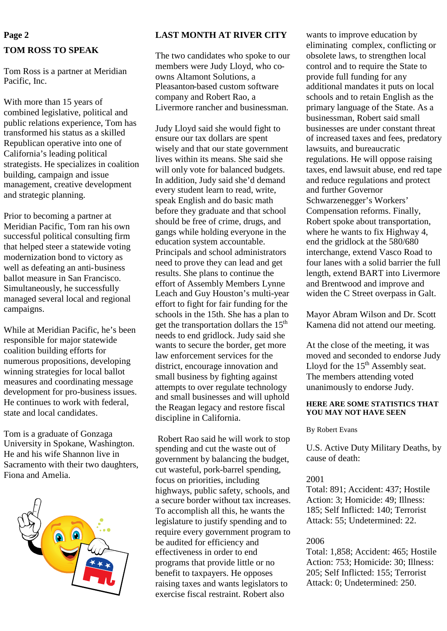# **TOM ROSS TO SPEAK**

Tom Ross is a partner at Meridian Pacific, Inc.

With more than 15 years of combined legislative, political and public relations experience, Tom has transformed his status as a skilled Republican operative into one of California's leading political strategists. He specializes in coalition building, campaign and issue management, creative development and strategic planning.

Prior to becoming a partner at Meridian Pacific, Tom ran his own successful political consulting firm that helped steer a statewide voting modernization bond to victory as well as defeating an anti-business ballot measure in San Francisco. Simultaneously, he successfully managed several local and regional campaigns.

While at Meridian Pacific, he's been responsible for major statewide coalition building efforts for numerous propositions, developing winning strategies for local ballot measures and coordinating message development for pro-business issues. He continues to work with federal, state and local candidates.

Tom is a graduate of Gonzaga University in Spokane, Washington. He and his wife Shannon live in Sacramento with their two daughters, Fiona and Amelia.



# **Page 2 LAST MONTH AT RIVER CITY** wants to improve education by

The two candidates who spoke to our members were Judy Lloyd, who coowns Altamont Solutions, a Pleasanton-based custom software company and Robert Rao, a Livermore rancher and businessman.

Judy Lloyd said she would fight to ensure our tax dollars are spent wisely and that our state government lives within its means. She said she will only vote for balanced budgets. In addition, Judy said she'd demand every student learn to read, write, speak English and do basic math before they graduate and that school should be free of crime, drugs, and gangs while holding everyone in the education system accountable. Principals and school administrators need to prove they can lead and get results. She plans to continue the effort of Assembly Members Lynne Leach and Guy Houston's multi-year effort to fight for fair funding for the schools in the 15th. She has a plan to get the transportation dollars the  $15<sup>th</sup>$ needs to end gridlock. Judy said she wants to secure the border, get more law enforcement services for the district, encourage innovation and small business by fighting against attempts to over regulate technology and small businesses and will uphold the Reagan legacy and restore fiscal discipline in California.

Robert Rao said he will work to stop spending and cut the waste out of government by balancing the budget, cut wasteful, pork-barrel spending, focus on priorities, including highways, public safety, schools, and a secure border without tax increases. To accomplish all this, he wants the legislature to justify spending and to require every government program to be audited for efficiency and effectiveness in order to end programs that provide little or no benefit to taxpayers. He opposes raising taxes and wants legislators to exercise fiscal restraint. Robert also

eliminating complex, conflicting or obsolete laws, to strengthen local control and to require the State to provide full funding for any additional mandates it puts on local schools and to retain English as the primary language of the State. As a businessman, Robert said small businesses are under constant threat of increased taxes and fees, predatory lawsuits, and bureaucratic regulations. He will oppose raising taxes, end lawsuit abuse, end red tape and reduce regulations and protect and further Governor Schwarzenegger's Workers' Compensation reforms. Finally, Robert spoke about transportation, where he wants to fix Highway 4, end the gridlock at the 580/680 interchange, extend Vasco Road to four lanes with a solid barrier the full length, extend BART into Livermore and Brentwood and improve and widen the C Street overpass in Galt.

Mayor Abram Wilson and Dr. Scott Kamena did not attend our meeting.

At the close of the meeting, it was moved and seconded to endorse Judy Lloyd for the  $15<sup>th</sup>$  Assembly seat. The members attending voted unanimously to endorse Judy.

#### **HERE ARE SOME STATISTICS THAT YOU MAY NOT HAVE SEEN**

By Robert Evans

U.S. Active Duty Military Deaths, by cause of death:

#### 2001

Total: 891; Accident: 437; Hostile Action: 3; Homicide: 49; Illness: 185; Self Inflicted: 140; Terrorist Attack: 55; Undetermined: 22.

### 2006

Total: 1,858; Accident: 465; Hostile Action: 753; Homicide: 30; Illness: 205; Self Inflicted: 155; Terrorist Attack: 0; Undetermined: 250.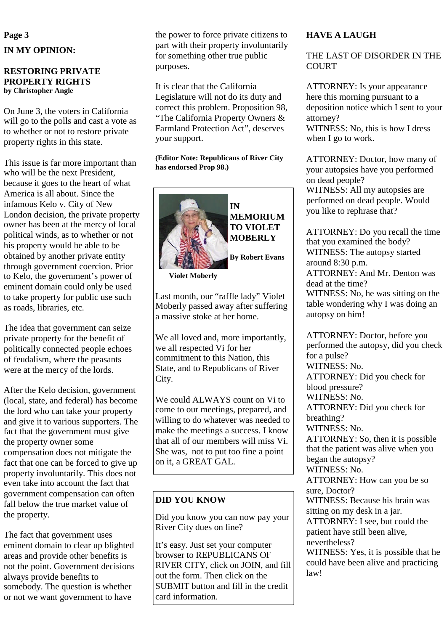# **Page 3 IN MY OPINION:**

#### **RESTORING PRIVATE PROPERTY RIGHTS by Christopher Angle**

On June 3, the voters in California will go to the polls and cast a vote as to whether or not to restore private property rights in this state.

This issue is far more important than who will be the next President, because it goes to the heart of what America is all about. Since the infamous Kelo v. City of New London decision, the private property owner has been at the mercy of local political winds, as to whether or not his property would be able to be obtained by another private entity through government coercion. Prior to Kelo, the government's power of eminent domain could only be used to take property for public use such as roads, libraries, etc.

The idea that government can seize private property for the benefit of politically connected people echoes of feudalism, where the peasants were at the mercy of the lords.

After the Kelo decision, government (local, state, and federal) has become the lord who can take your property and give it to various supporters. The fact that the government must give the property owner some compensation does not mitigate the fact that one can be forced to give up property involuntarily. This does not even take into account the fact that government compensation can often fall below the true market value of the property.

The fact that government uses eminent domain to clear up blighted areas and provide other benefits is not the point. Government decisions always provide benefits to somebody. The question is whether or not we want government to have

the power to force private citizens to part with their property involuntarily for something other true public purposes.

It is clear that the California Legislature will not do its duty and correct this problem. Proposition 98, "The California Property Owners & Farmland Protection Act", deserves your support.

**(Editor Note: Republicans of River City has endorsed Prop 98.)**



**Violet Moberly**

Last month, our "raffle lady" Violet Moberly passed away after suffering a massive stoke at her home.

We all loved and, more importantly, we all respected Vi for her commitment to this Nation, this State, and to Republicans of River City.

We could ALWAYS count on Vi to come to our meetings, prepared, and willing to do whatever was needed to make the meetings a success. I know that all of our members will miss Vi. She was, not to put too fine a point on it, a GREAT GAL.

# **DID YOU KNOW**

Did you know you can now pay your River City dues on line?

It's easy. Just set your computer browser to REPUBLICANS OF RIVER CITY, click on JOIN, and fill out the form. Then click on the SUBMIT button and fill in the credit card information.

# **HAVE A LAUGH**

## THE LAST OF DISORDER IN THE **COURT**

ATTORNEY: Is your appearance here this morning pursuant to a deposition notice which I sent to your attorney?

WITNESS: No, this is how I dress when I go to work.

ATTORNEY: Doctor, how many of your autopsies have you performed on dead people? WITNESS: All my autopsies are performed on dead people. Would you like to rephrase that?

ATTORNEY: Do you recall the time that you examined the body? WITNESS: The autopsy started around 8:30 p.m. ATTORNEY: And Mr. Denton was dead at the time? WITNESS: No, he was sitting on the table wondering why I was doing an autopsy on him!

ATTORNEY: Doctor, before you performed the autopsy, did you check for a pulse? WITNESS: No. ATTORNEY: Did you check for blood pressure? WITNESS: No. ATTORNEY: Did you check for breathing? WITNESS: No. ATTORNEY: So, then it is possible that the patient was alive when you began the autopsy? WITNESS: No. ATTORNEY: How can you be so sure, Doctor? WITNESS: Because his brain was sitting on my desk in a jar. ATTORNEY: I see, but could the patient have still been alive, nevertheless? WITNESS: Yes, it is possible that he could have been alive and practicing law!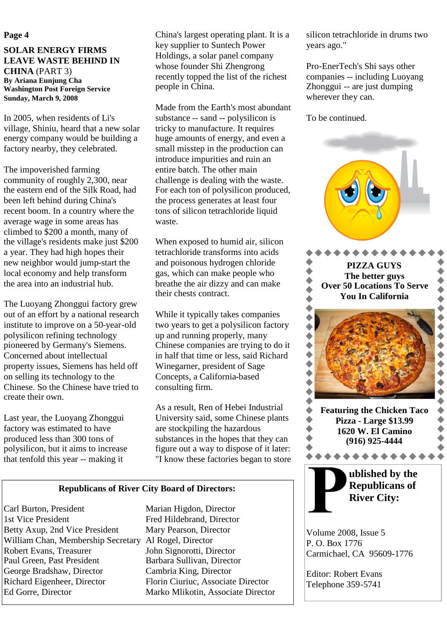#### **Page 4**

**SOLAR ENERGY FIRMS LEAVE WASTE BEHIND IN CHINA** (PART 3) **By Ariana Eunjung Cha Washington Post Foreign Service Sunday, March 9, 2008**

In 2005, when residents of Li's village, Shiniu, heard that a new solar energy company would be building a factory nearby, they celebrated.

The impoverished farming community of roughly 2,300, near the eastern end of the Silk Road, had been left behind during China's recent boom. In a country where the average wage in some areas has climbed to \$200 a month, many of the village's residents make just \$200 a year. They had high hopes their new neighbor would jump-start the local economy and help transform the area into an industrial hub.

The Luoyang Zhonggui factory grew out of an effort by a national research institute to improve on a 50-year-old polysilicon refining technology pioneered by Germany's Siemens. Concerned about intellectual property issues, Siemens has held off on selling its technology to the Chinese. So the Chinese have tried to create their own.

Last year, the Luoyang Zhonggui factory was estimated to have produced less than 300 tons of polysilicon, but it aims to increase that tenfold this year -- making it

China's largest operating plant. It is a key supplier to Suntech Power Holdings, a solar panel company whose founder Shi Zhengrong recently topped the list of the richest people in China.

Made from the Earth's most abundant substance -- sand -- polysilicon is tricky to manufacture. It requires huge amounts of energy, and even a small misstep in the production can introduce impurities and ruin an entire batch. The other main challenge is dealing with the waste. For each ton of polysilicon produced, the process generates at least four tons of silicon tetrachloride liquid waste.

When exposed to humid air, silicon tetrachloride transforms into acids and poisonous hydrogen chloride gas, which can make people who breathe the air dizzy and can make their chests contract.

While it typically takes companies two years to get a polysilicon factory up and running properly, many Chinese companies are trying to do it<br>in half that time or less said Richard in half that time or less, said Richard Winegarner, president of Sage Concepts, a California-based consulting firm.

As a result, Ren of Hebei Industrial University said, some Chinese plants are stockpiling the hazardous substances in the hopes that they can figure out a way to dispose of it later: "I know these factories began to store

#### **Republicans of River City Board of Directors:**

Carl Burton, President Marian Higdon, Director 1st Vice President Fred Hildebrand, Director Betty Axup, 2nd Vice President Mary Pearson, Director William Chan, Membership Secretary Al Rogel, Director Robert Evans, Treasurer John Signorotti, Director Paul Green, Past President Barbara Sullivan, Director George Bradshaw, Director Cambria King, Director Richard Eigenheer, Director Florin Ciuriuc, Associate Director Ed Gorre, Director Marko Mlikotin, Associate Director

silicon tetrachloride in drums two years ago."

Pro-EnerTech's Shi says other companies -- including Luoyang Zhonggui -- are just dumping wherever they can.

To be continued.



P. O. Box 1776 Carmichael, CA 95609-1776

Editor: Robert Evans Telephone 359-5741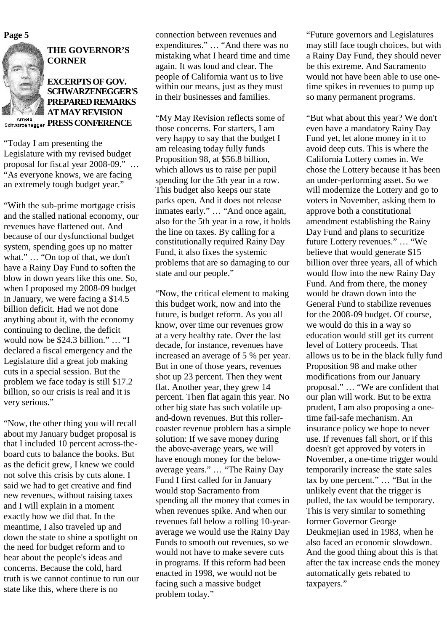

Arnold

## **THE GOVERNOR'S CORNER**

**EXCERPTS OFGOV. SCHWARZENEGGER'S PREPARED REMARKS AT MAY REVISION PRESS CONFERENCE** 

"Today I am presenting the Legislature with my revised budget proposal for fiscal year 2008-09." … "As everyone knows, we are facing an extremely tough budget year."

"With the sub-prime mortgage crisis and the stalled national economy, our revenues have flattened out. And because of our dysfunctional budget system, spending goes up no matter what." … "On top of that, we don't have a Rainy Day Fund to soften the blow in down years like this one. So, when I proposed my 2008-09 budget in January, we were facing a \$14.5 billion deficit. Had we not done anything about it, with the economy continuing to decline, the deficit would now be \$24.3 billion." … "I declared a fiscal emergency and the Legislature did a great job making cuts in a special session. But the problem we face today is still \$17.2 billion, so our crisis is real and it is very serious."

"Now, the other thing you will recall about my January budget proposal is that I included 10 percent across-theboard cuts to balance the books. But as the deficit grew, I knew we could not solve this crisis by cuts alone. I said we had to get creative and find new revenues, without raising taxes and I will explain in a moment exactly how we did that. In the meantime, I also traveled up and down the state to shine a spotlight on the need for budget reform and to hear about the people's ideas and concerns. Because the cold, hard truth is we cannot continue to run our state like this, where there is no

connection between revenues and expenditures." … "And there was no mistaking what I heard time and time again. It was loud and clear. The people of California want us to live within our means, just as they must in their businesses and families. **Page 5** connection between revenues and "Future governors and Legislatures"

> "My May Revision reflects some of those concerns. For starters, I am very happy to say that the budget I am releasing today fully funds Proposition 98, at \$56.8 billion, which allows us to raise per pupil spending for the 5th year in a row. This budget also keeps our state parks open. And it does not release inmates early." … "And once again, also for the 5th year in a row, it holds the line on taxes. By calling for a constitutionally required Rainy Day Fund, it also fixes the systemic problems that are so damaging to our state and our people."

> "Now, the critical element to making this budget work, now and into the future, is budget reform. As you all know, over time our revenues grow at a very healthy rate. Over the last decade, for instance, revenues have increased an average of 5 % per year. But in one of those years, revenues shot up 23 percent. Then they went flat. Another year, they grew 14 percent. Then flat again this year. No other big state has such volatile upand-down revenues. But this rollercoaster revenue problem has a simple solution: If we save money during the above-average years, we will have enough money for the belowaverage years." … "The Rainy Day Fund I first called for in January would stop Sacramento from spending all the money that comes in when revenues spike. And when our revenues fall below a rolling 10-yearaverage we would use the Rainy Day Funds to smooth out revenues, so we would not have to make severe cuts in programs. If this reform had been enacted in 1998, we would not be facing such a massive budget problem today."

may still face tough choices, but with a Rainy Day Fund, they should never be this extreme. And Sacramento would not have been able to use onetime spikes in revenues to pump up so many permanent programs.

"But what about this year? We don't even have a mandatory Rainy Day Fund yet, let alone money in it to avoid deep cuts. This is where the California Lottery comes in. We chose the Lottery because it has been an under-performing asset. So we will modernize the Lottery and go to voters in November, asking them to approve both a constitutional amendment establishing the Rainy Day Fund and plans to securitize future Lottery revenues." … "We believe that would generate \$15 billion over three years, all of which would flow into the new Rainy Day Fund. And from there, the money would be drawn down into the General Fund to stabilize revenues for the 2008-09 budget. Of course, we would do this in a way so education would still get its current level of Lottery proceeds. That allows us to be in the black fully fund Proposition 98 and make other modifications from our January proposal." … "We are confident that our plan will work. But to be extra prudent, I am also proposing a onetime fail-safe mechanism. An insurance policy we hope to never use. If revenues fall short, or if this doesn't get approved by voters in November, a one-time trigger would temporarily increase the state sales tax by one percent." … "But in the unlikely event that the trigger is pulled, the tax would be temporary. This is very similar to something former Governor George Deukmejian used in 1983, when he also faced an economic slowdown. And the good thing about this is that after the tax increase ends the money automatically gets rebated to taxpayers."